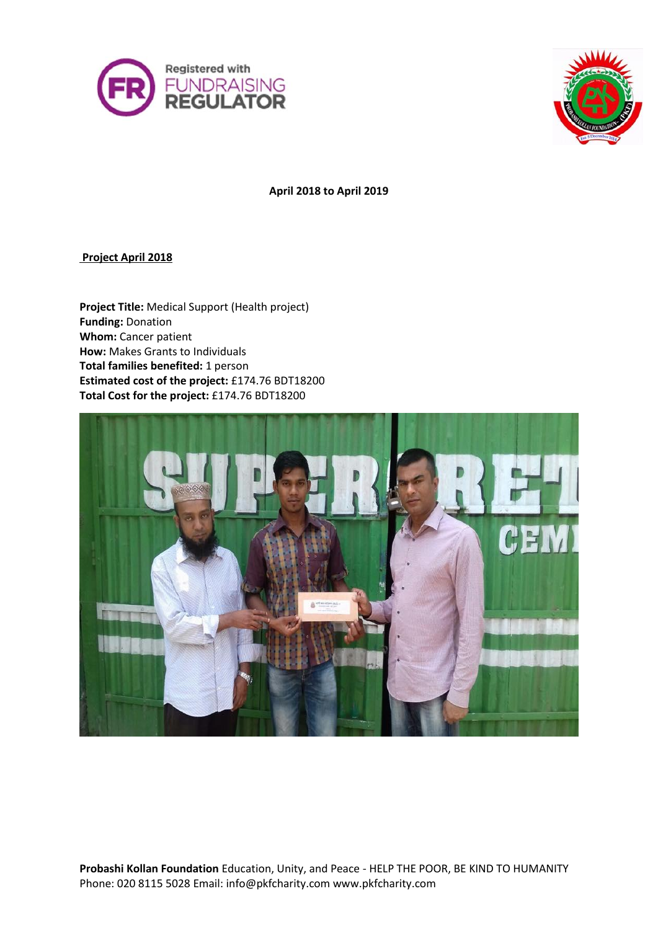



**April 2018 to April 2019**

**Project April 2018**

**Project Title:** Medical Support (Health project) **Funding:** Donation **Whom:** Cancer patient **How:** Makes Grants to Individuals **Total families benefited:** 1 person **Estimated cost of the project:** £174.76 BDT18200 **Total Cost for the project:** £174.76 BDT18200

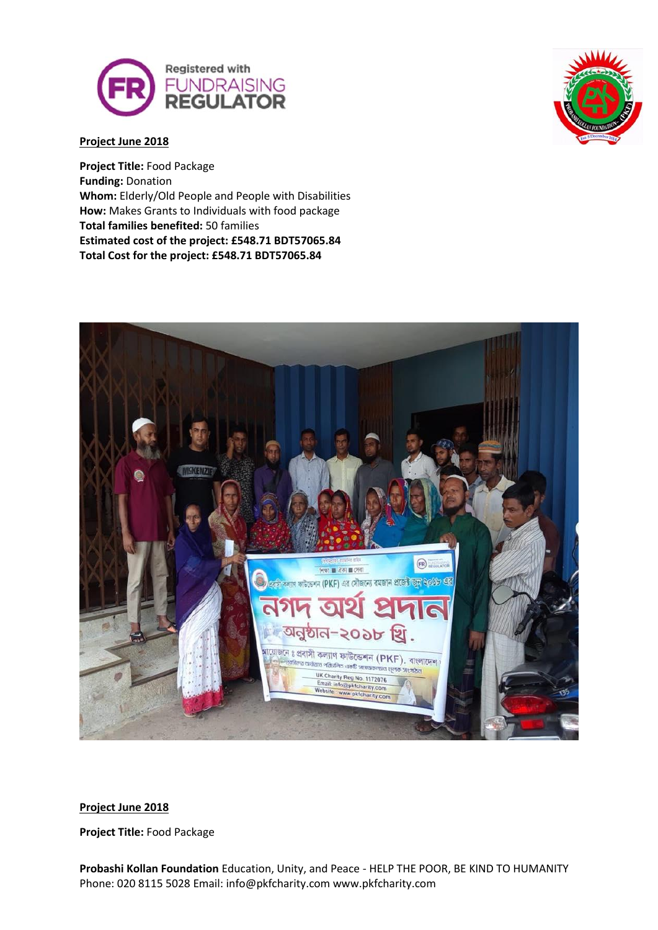



### **Project June 2018**

**Project Title:** Food Package **Funding:** Donation **Whom:** Elderly/Old People and People with Disabilities **How:** Makes Grants to Individuals with food package **Total families benefited:** 50 families **Estimated cost of the project: £548.71 BDT57065.84 Total Cost for the project: £548.71 BDT57065.84**



#### **Project June 2018**

**Project Title:** Food Package

**Probashi Kollan Foundation** Education, Unity, and Peace - HELP THE POOR, BE KIND TO HUMANITY Phone: 020 8115 5028 Email: info@pkfcharity.com www.pkfcharity.com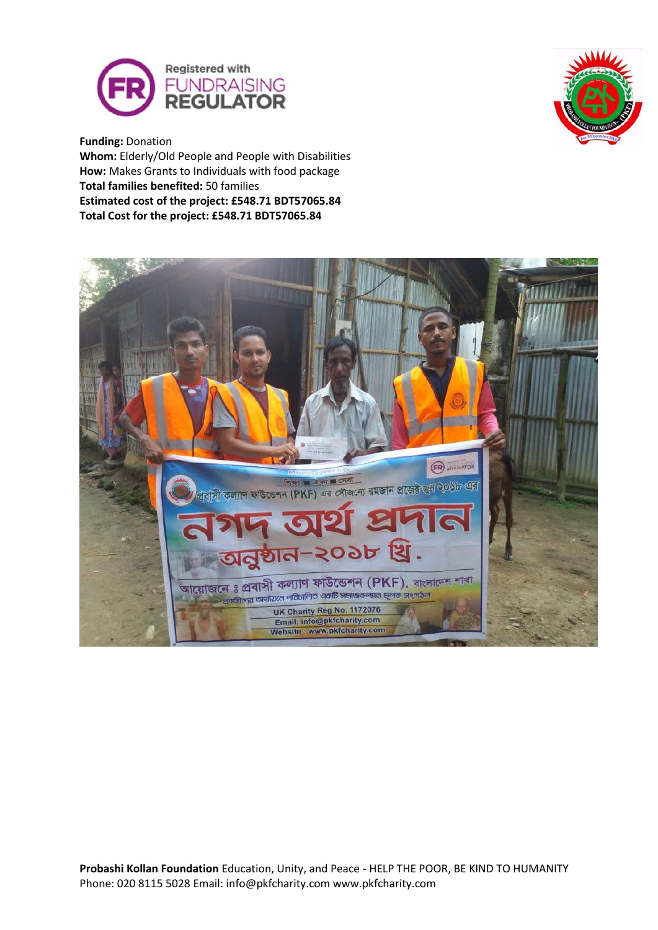



**Funding:** Donation **Whom:** Elderly/Old People and People with Disabilities **How:** Makes Grants to Individuals with food package **Total families benefited:** 50 families **Estimated cost of the project: £548.71 BDT57065.84 Total Cost for the project: £548.71 BDT57065.84**

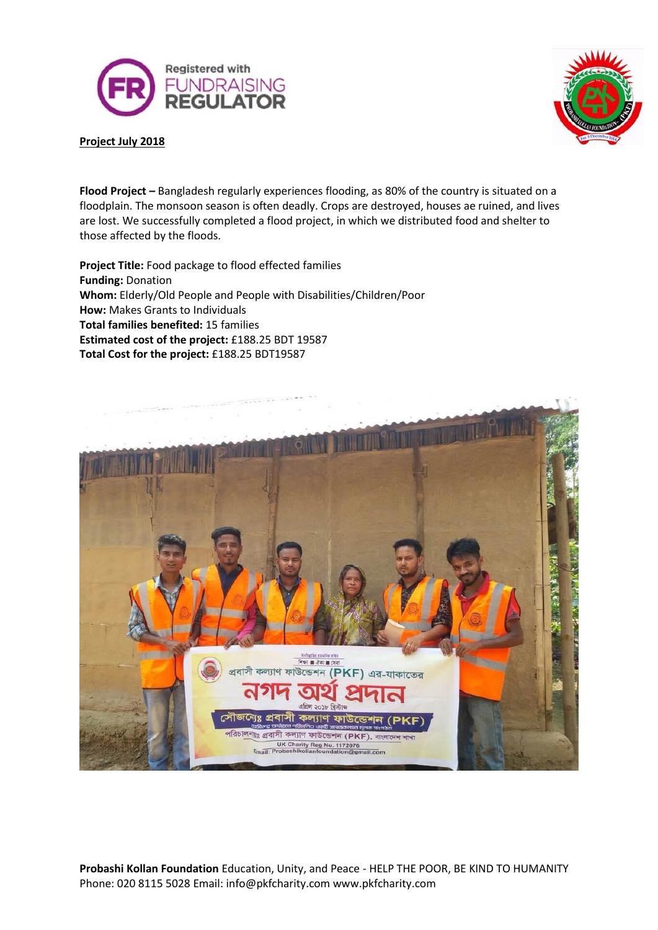



#### **Project July 2018**

**Flood Project –** Bangladesh regularly experiences flooding, as 80% of the country is situated on a floodplain. The monsoon season is often deadly. Crops are destroyed, houses ae ruined, and lives are lost. We successfully completed a flood project, in which we distributed food and shelter to those affected by the floods.

**Project Title:** Food package to flood effected families **Funding:** Donation **Whom:** Elderly/Old People and People with Disabilities/Children/Poor **How:** Makes Grants to Individuals **Total families benefited:** 15 families **Estimated cost of the project:** £188.25 BDT 19587 **Total Cost for the project:** £188.25 BDT19587



**Probashi Kollan Foundation** Education, Unity, and Peace - HELP THE POOR, BE KIND TO HUMANITY Phone: 020 8115 5028 Email: info@pkfcharity.com www.pkfcharity.com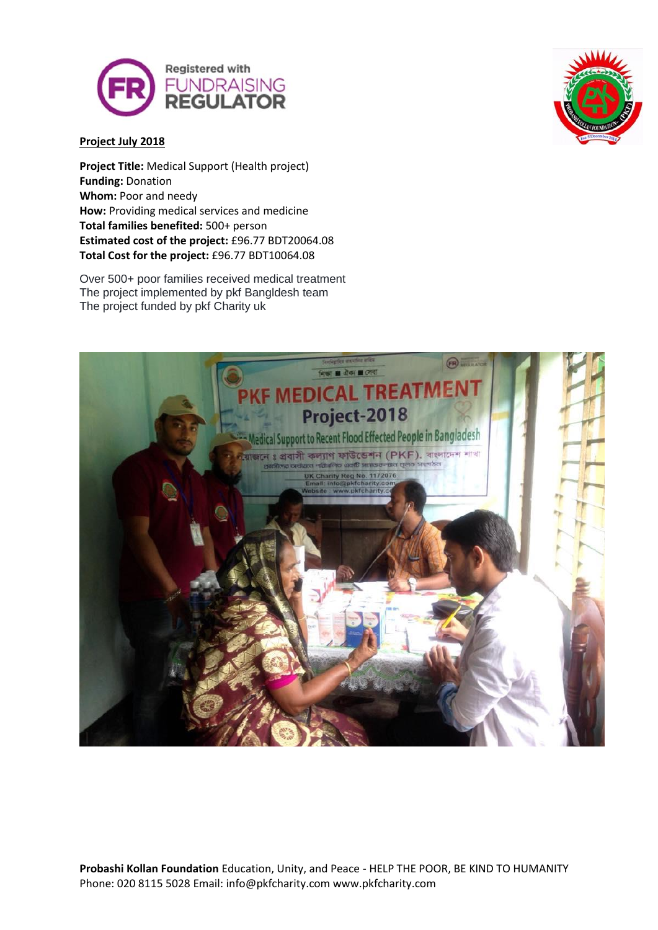



#### **Project July 2018**

**Project Title:** Medical Support (Health project) **Funding:** Donation **Whom: Poor and needy How:** Providing medical services and medicine **Total families benefited:** 500+ person **Estimated cost of the project:** £96.77 BDT20064.08 **Total Cost for the project:** £96.77 BDT10064.08

Over 500+ poor families received medical treatment The project implemented by pkf Bangldesh team The project funded by pkf Charity uk

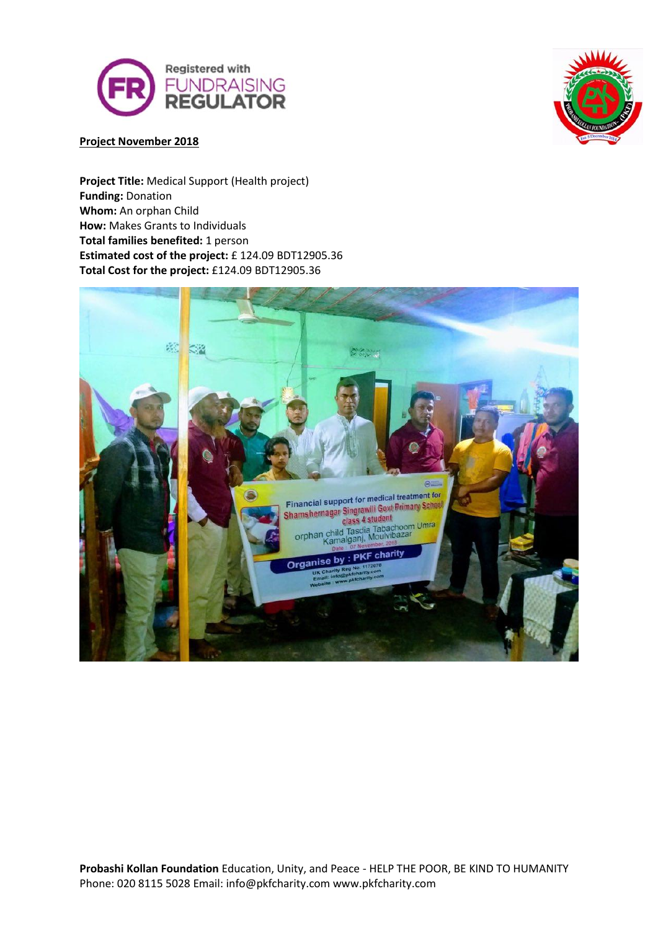



# **Project November 2018**

**Project Title:** Medical Support (Health project) **Funding:** Donation **Whom:** An orphan Child **How:** Makes Grants to Individuals **Total families benefited:** 1 person **Estimated cost of the project:** £ 124.09 BDT12905.36 **Total Cost for the project:** £124.09 BDT12905.36

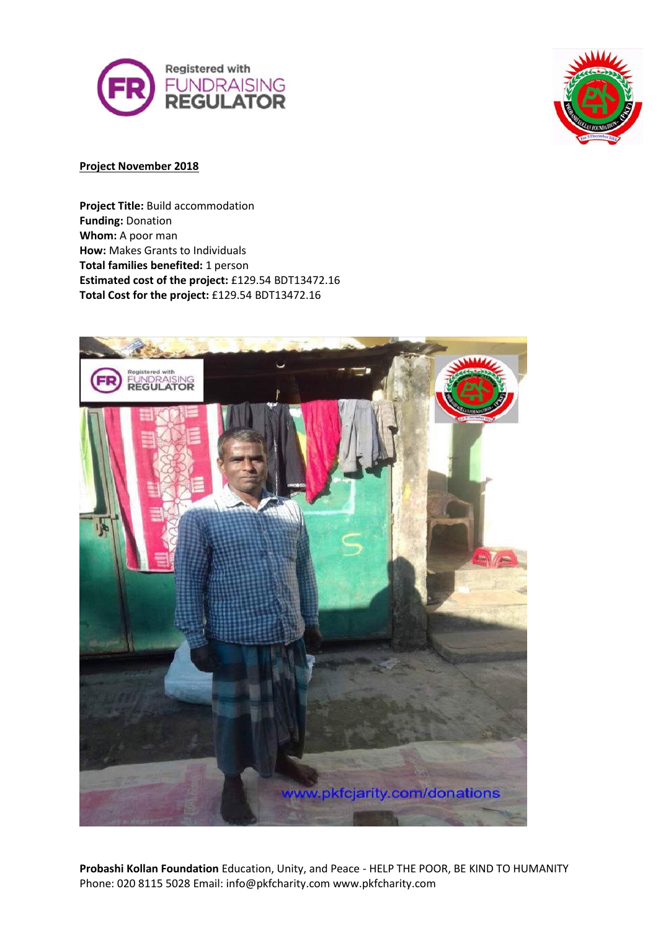



## **Project November 2018**

**Project Title:** Build accommodation **Funding:** Donation **Whom:** A poor man **How:** Makes Grants to Individuals **Total families benefited:** 1 person **Estimated cost of the project:** £129.54 BDT13472.16 **Total Cost for the project:** £129.54 BDT13472.16



**Probashi Kollan Foundation** Education, Unity, and Peace - HELP THE POOR, BE KIND TO HUMANITY Phone: 020 8115 5028 Email: info@pkfcharity.com www.pkfcharity.com